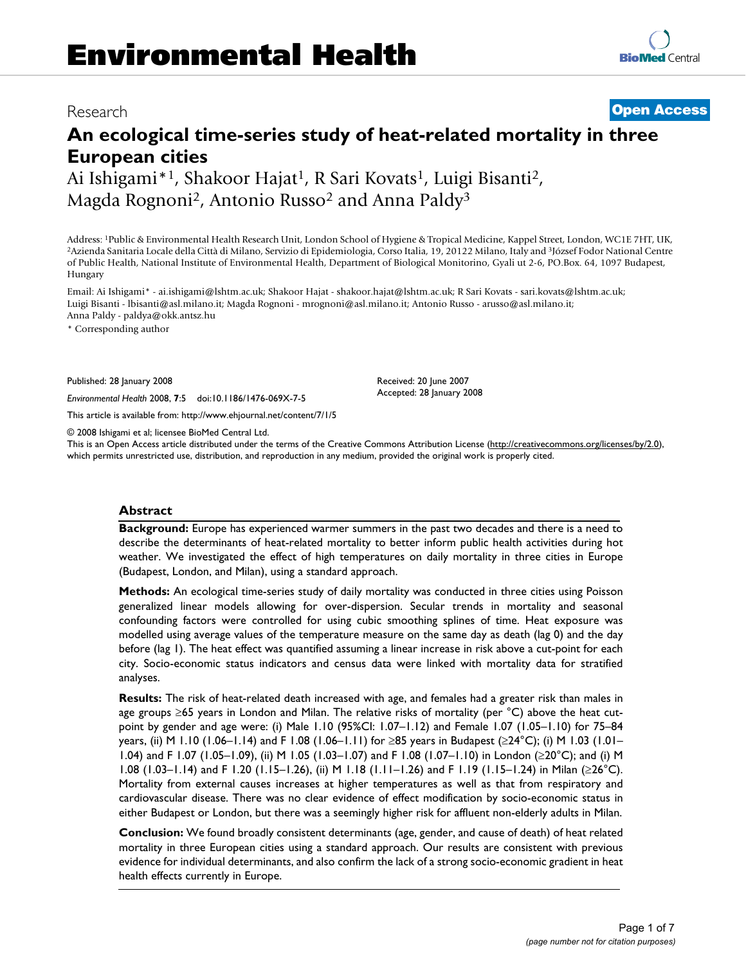# Research **[Open Access](http://www.biomedcentral.com/info/about/charter/)**

# **An ecological time-series study of heat-related mortality in three European cities**

Ai Ishigami\*<sup>1</sup>, Shakoor Hajat<sup>1</sup>, R Sari Kovats<sup>1</sup>, Luigi Bisanti<sup>2</sup>, Magda Rognoni<sup>2</sup>, Antonio Russo<sup>2</sup> and Anna Paldy<sup>3</sup>

Address: 1Public & Environmental Health Research Unit, London School of Hygiene & Tropical Medicine, Kappel Street, London, WC1E 7HT, UK, 2Azienda Sanitaria Locale della Città di Milano, Servizio di Epidemiologia, Corso Italia, 19, 20122 Milano, Italy and 3József Fodor National Centre of Public Health, National Institute of Environmental Health, Department of Biological Monitorino, Gyali ut 2-6, PO.Box. 64, 1097 Budapest, Hungary

Email: Ai Ishigami\* - ai.ishigami@lshtm.ac.uk; Shakoor Hajat - shakoor.hajat@lshtm.ac.uk; R Sari Kovats - sari.kovats@lshtm.ac.uk; Luigi Bisanti - lbisanti@asl.milano.it; Magda Rognoni - mrognoni@asl.milano.it; Antonio Russo - arusso@asl.milano.it; Anna Paldy - paldya@okk.antsz.hu

\* Corresponding author

Published: 28 January 2008

*Environmental Health* 2008, **7**:5 doi:10.1186/1476-069X-7-5

[This article is available from: http://www.ehjournal.net/content/7/1/5](http://www.ehjournal.net/content/7/1/5)

© 2008 Ishigami et al; licensee BioMed Central Ltd.

This is an Open Access article distributed under the terms of the Creative Commons Attribution License [\(http://creativecommons.org/licenses/by/2.0\)](http://creativecommons.org/licenses/by/2.0), which permits unrestricted use, distribution, and reproduction in any medium, provided the original work is properly cited.

Received: 20 June 2007 Accepted: 28 January 2008

#### **Abstract**

**Background:** Europe has experienced warmer summers in the past two decades and there is a need to describe the determinants of heat-related mortality to better inform public health activities during hot weather. We investigated the effect of high temperatures on daily mortality in three cities in Europe (Budapest, London, and Milan), using a standard approach.

**Methods:** An ecological time-series study of daily mortality was conducted in three cities using Poisson generalized linear models allowing for over-dispersion. Secular trends in mortality and seasonal confounding factors were controlled for using cubic smoothing splines of time. Heat exposure was modelled using average values of the temperature measure on the same day as death (lag 0) and the day before (lag 1). The heat effect was quantified assuming a linear increase in risk above a cut-point for each city. Socio-economic status indicators and census data were linked with mortality data for stratified analyses.

**Results:** The risk of heat-related death increased with age, and females had a greater risk than males in age groups ≥65 years in London and Milan. The relative risks of mortality (per °C) above the heat cutpoint by gender and age were: (i) Male 1.10 (95%CI: 1.07–1.12) and Female 1.07 (1.05–1.10) for 75–84 years, (ii) M 1.10 (1.06–1.14) and F 1.08 (1.06–1.11) for ≥85 years in Budapest (≥24°C); (i) M 1.03 (1.01– 1.04) and F 1.07 (1.05–1.09), (ii) M 1.05 (1.03–1.07) and F 1.08 (1.07–1.10) in London (≥20°C); and (i) M 1.08 (1.03–1.14) and F 1.20 (1.15–1.26), (ii) M 1.18 (1.11–1.26) and F 1.19 (1.15–1.24) in Milan (≥26°C). Mortality from external causes increases at higher temperatures as well as that from respiratory and cardiovascular disease. There was no clear evidence of effect modification by socio-economic status in either Budapest or London, but there was a seemingly higher risk for affluent non-elderly adults in Milan.

**Conclusion:** We found broadly consistent determinants (age, gender, and cause of death) of heat related mortality in three European cities using a standard approach. Our results are consistent with previous evidence for individual determinants, and also confirm the lack of a strong socio-economic gradient in heat health effects currently in Europe.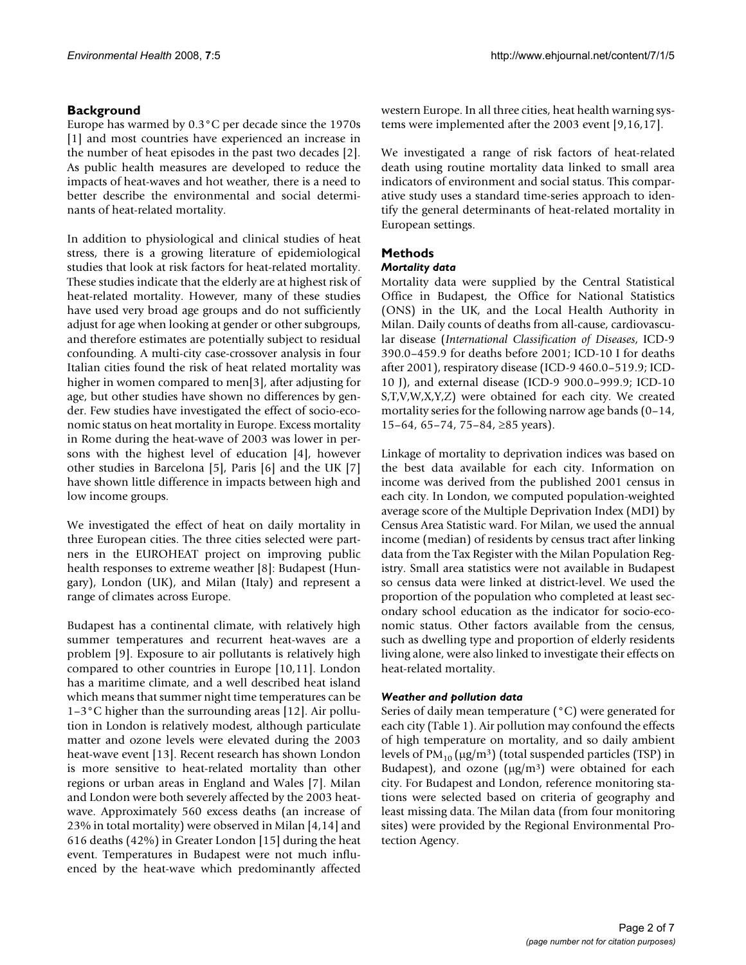# **Background**

Europe has warmed by 0.3°C per decade since the 1970s [1] and most countries have experienced an increase in the number of heat episodes in the past two decades [2]. As public health measures are developed to reduce the impacts of heat-waves and hot weather, there is a need to better describe the environmental and social determinants of heat-related mortality.

In addition to physiological and clinical studies of heat stress, there is a growing literature of epidemiological studies that look at risk factors for heat-related mortality. These studies indicate that the elderly are at highest risk of heat-related mortality. However, many of these studies have used very broad age groups and do not sufficiently adjust for age when looking at gender or other subgroups, and therefore estimates are potentially subject to residual confounding. A multi-city case-crossover analysis in four Italian cities found the risk of heat related mortality was higher in women compared to men[3], after adjusting for age, but other studies have shown no differences by gender. Few studies have investigated the effect of socio-economic status on heat mortality in Europe. Excess mortality in Rome during the heat-wave of 2003 was lower in persons with the highest level of education [4], however other studies in Barcelona [5], Paris [6] and the UK [7] have shown little difference in impacts between high and low income groups.

We investigated the effect of heat on daily mortality in three European cities. The three cities selected were partners in the EUROHEAT project on improving public health responses to extreme weather [8]: Budapest (Hungary), London (UK), and Milan (Italy) and represent a range of climates across Europe.

Budapest has a continental climate, with relatively high summer temperatures and recurrent heat-waves are a problem [9]. Exposure to air pollutants is relatively high compared to other countries in Europe [10,11]. London has a maritime climate, and a well described heat island which means that summer night time temperatures can be 1–3°C higher than the surrounding areas [12]. Air pollution in London is relatively modest, although particulate matter and ozone levels were elevated during the 2003 heat-wave event [13]. Recent research has shown London is more sensitive to heat-related mortality than other regions or urban areas in England and Wales [7]. Milan and London were both severely affected by the 2003 heatwave. Approximately 560 excess deaths (an increase of 23% in total mortality) were observed in Milan [4,14] and 616 deaths (42%) in Greater London [15] during the heat event. Temperatures in Budapest were not much influenced by the heat-wave which predominantly affected western Europe. In all three cities, heat health warning systems were implemented after the 2003 event [9,16,17].

We investigated a range of risk factors of heat-related death using routine mortality data linked to small area indicators of environment and social status. This comparative study uses a standard time-series approach to identify the general determinants of heat-related mortality in European settings.

# **Methods**

### *Mortality data*

Mortality data were supplied by the Central Statistical Office in Budapest, the Office for National Statistics (ONS) in the UK, and the Local Health Authority in Milan. Daily counts of deaths from all-cause, cardiovascular disease (*International Classification of Diseases*, ICD-9 390.0–459.9 for deaths before 2001; ICD-10 I for deaths after 2001), respiratory disease (ICD-9 460.0–519.9; ICD-10 J), and external disease (ICD-9 900.0–999.9; ICD-10 S,T,V,W,X,Y,Z) were obtained for each city. We created mortality series for the following narrow age bands (0–14, 15–64, 65–74, 75–84, ≥85 years).

Linkage of mortality to deprivation indices was based on the best data available for each city. Information on income was derived from the published 2001 census in each city. In London, we computed population-weighted average score of the Multiple Deprivation Index (MDI) by Census Area Statistic ward. For Milan, we used the annual income (median) of residents by census tract after linking data from the Tax Register with the Milan Population Registry. Small area statistics were not available in Budapest so census data were linked at district-level. We used the proportion of the population who completed at least secondary school education as the indicator for socio-economic status. Other factors available from the census, such as dwelling type and proportion of elderly residents living alone, were also linked to investigate their effects on heat-related mortality.

#### *Weather and pollution data*

Series of daily mean temperature (°C) were generated for each city (Table 1). Air pollution may confound the effects of high temperature on mortality, and so daily ambient levels of  $PM_{10}$  ( $\mu$ g/m<sup>3</sup>) (total suspended particles (TSP) in Budapest), and ozone ( $\mu$ g/m<sup>3</sup>) were obtained for each city. For Budapest and London, reference monitoring stations were selected based on criteria of geography and least missing data. The Milan data (from four monitoring sites) were provided by the Regional Environmental Protection Agency.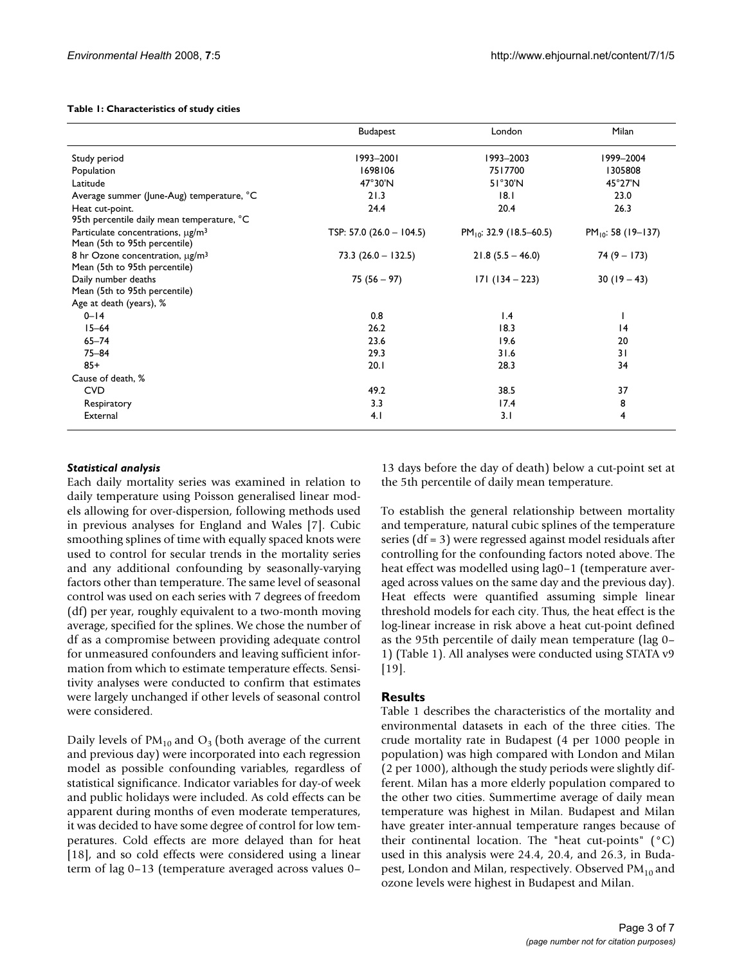#### **Table 1: Characteristics of study cities**

|                                                                                     | <b>Budapest</b>            | London                       | Milan                   |  |
|-------------------------------------------------------------------------------------|----------------------------|------------------------------|-------------------------|--|
| Study period                                                                        | 1993-2001                  | 1993-2003                    |                         |  |
| Population                                                                          | 1698106                    | 7517700                      | 1305808                 |  |
| Latitude                                                                            | $47^\circ 30'$ N           | $51^{\circ}30^{\prime}N$     | 45°27'N                 |  |
| Average summer (June-Aug) temperature, °C                                           | 21.3                       | 18.1                         | 23.0                    |  |
| Heat cut-point.                                                                     | 24.4                       | 20.4                         | 26.3                    |  |
| 95th percentile daily mean temperature, °C                                          |                            |                              |                         |  |
| Particulate concentrations, $\mu$ g/m <sup>3</sup><br>Mean (5th to 95th percentile) | TSP: 57.0 $(26.0 - 104.5)$ | $PM_{10}$ : 32.9 (18.5–60.5) | $PM_{10}$ : 58 (19-137) |  |
| 8 hr Ozone concentration, µg/m <sup>3</sup><br>Mean (5th to 95th percentile)        | $73.3 (26.0 - 132.5)$      | $21.8(5.5 - 46.0)$           | $74(9 - 173)$           |  |
| Daily number deaths                                                                 | $75(56 - 97)$              | $171(134 - 223)$             | $30(19-43)$             |  |
| Mean (5th to 95th percentile)                                                       |                            |                              |                         |  |
| Age at death (years), %                                                             |                            |                              |                         |  |
| $0 - 14$                                                                            | 0.8                        | 1.4                          |                         |  |
| $15 - 64$                                                                           | 26.2                       | 18.3                         | 4                       |  |
| $65 - 74$                                                                           | 23.6                       | 19.6                         | 20                      |  |
| $75 - 84$                                                                           | 29.3                       | 31.6                         | 31                      |  |
| $85+$                                                                               | 20.1                       | 28.3                         | 34                      |  |
| Cause of death, %                                                                   |                            |                              |                         |  |
| <b>CVD</b>                                                                          | 49.2                       | 38.5                         | 37                      |  |
| Respiratory                                                                         | 3.3                        | 17.4                         | 8                       |  |
| External                                                                            | 4.1                        | 3.1                          | 4                       |  |

#### *Statistical analysis*

Each daily mortality series was examined in relation to daily temperature using Poisson generalised linear models allowing for over-dispersion, following methods used in previous analyses for England and Wales [7]. Cubic smoothing splines of time with equally spaced knots were used to control for secular trends in the mortality series and any additional confounding by seasonally-varying factors other than temperature. The same level of seasonal control was used on each series with 7 degrees of freedom (df) per year, roughly equivalent to a two-month moving average, specified for the splines. We chose the number of df as a compromise between providing adequate control for unmeasured confounders and leaving sufficient information from which to estimate temperature effects. Sensitivity analyses were conducted to confirm that estimates were largely unchanged if other levels of seasonal control were considered.

Daily levels of  $PM_{10}$  and  $O_3$  (both average of the current and previous day) were incorporated into each regression model as possible confounding variables, regardless of statistical significance. Indicator variables for day-of week and public holidays were included. As cold effects can be apparent during months of even moderate temperatures, it was decided to have some degree of control for low temperatures. Cold effects are more delayed than for heat [18], and so cold effects were considered using a linear term of lag 0–13 (temperature averaged across values 0–

13 days before the day of death) below a cut-point set at the 5th percentile of daily mean temperature.

To establish the general relationship between mortality and temperature, natural cubic splines of the temperature series (df = 3) were regressed against model residuals after controlling for the confounding factors noted above. The heat effect was modelled using lag0-1 (temperature averaged across values on the same day and the previous day). Heat effects were quantified assuming simple linear threshold models for each city. Thus, the heat effect is the log-linear increase in risk above a heat cut-point defined as the 95th percentile of daily mean temperature (lag 0– 1) (Table 1). All analyses were conducted using STATA v9 [19].

#### **Results**

Table 1 describes the characteristics of the mortality and environmental datasets in each of the three cities. The crude mortality rate in Budapest (4 per 1000 people in population) was high compared with London and Milan (2 per 1000), although the study periods were slightly different. Milan has a more elderly population compared to the other two cities. Summertime average of daily mean temperature was highest in Milan. Budapest and Milan have greater inter-annual temperature ranges because of their continental location. The "heat cut-points" (°C) used in this analysis were 24.4, 20.4, and 26.3, in Budapest, London and Milan, respectively. Observed  $PM_{10}$  and ozone levels were highest in Budapest and Milan.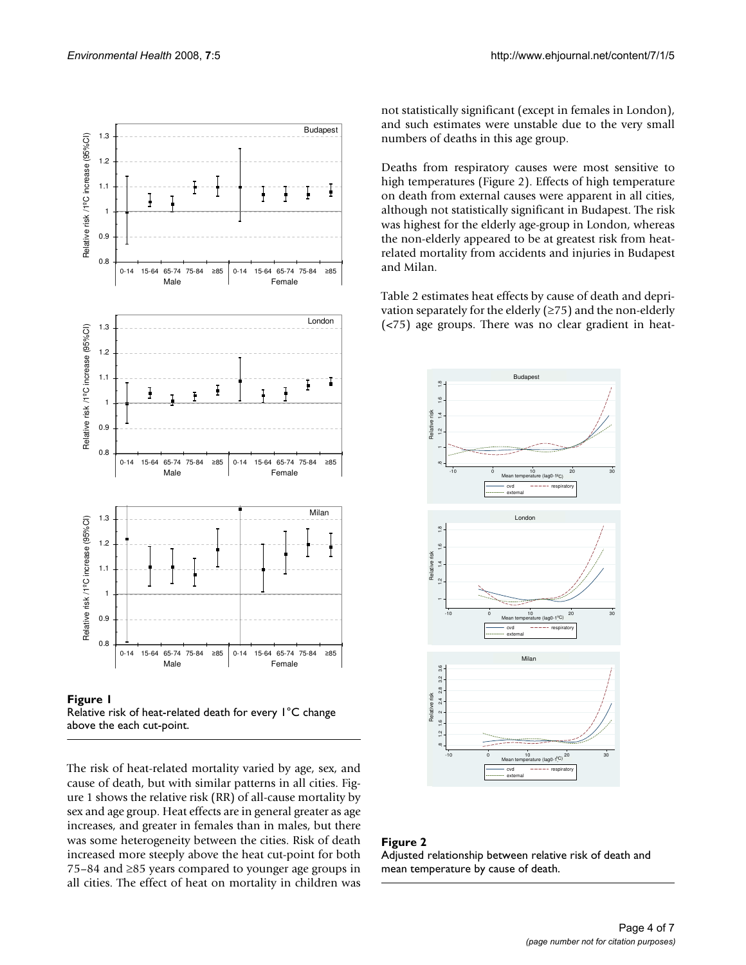

Figure 1 Relative risk of heat-related death for every 1°C change above the each cut-point.

The risk of heat-related mortality varied by age, sex, and cause of death, but with similar patterns in all cities. Figure 1 shows the relative risk (RR) of all-cause mortality by sex and age group. Heat effects are in general greater as age increases, and greater in females than in males, but there was some heterogeneity between the cities. Risk of death increased more steeply above the heat cut-point for both 75–84 and ≥85 years compared to younger age groups in all cities. The effect of heat on mortality in children was

not statistically significant (except in females in London), and such estimates were unstable due to the very small numbers of deaths in this age group.

Deaths from respiratory causes were most sensitive to high temperatures (Figure 2). Effects of high temperature on death from external causes were apparent in all cities, although not statistically significant in Budapest. The risk was highest for the elderly age-group in London, whereas the non-elderly appeared to be at greatest risk from heatrelated mortality from accidents and injuries in Budapest and Milan.

Table 2 estimates heat effects by cause of death and deprivation separately for the elderly  $(\geq 75)$  and the non-elderly (<75) age groups. There was no clear gradient in heat-



# Figure 2 Adjusted relationship between relative risk of death and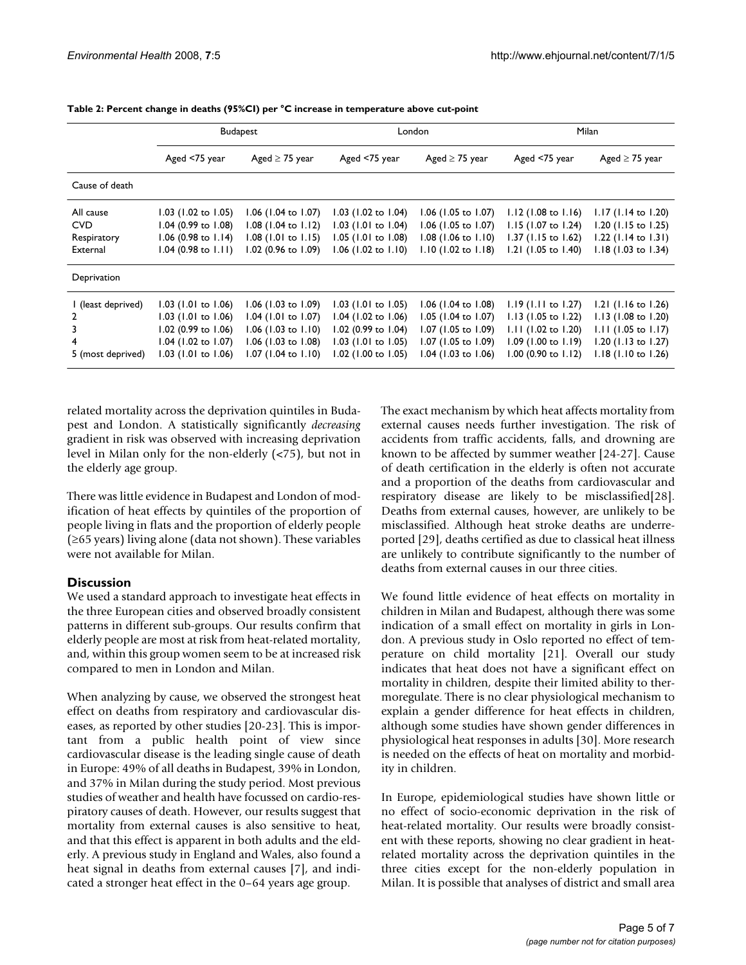|                    | <b>Budapest</b>          |                       | London                         |                       | <b>Milan</b>          |                       |
|--------------------|--------------------------|-----------------------|--------------------------------|-----------------------|-----------------------|-----------------------|
|                    | Aged <75 year            | Aged $\geq$ 75 year   | Aged <75 year                  | Aged $\geq$ 75 year   | Aged <75 year         | Aged $\geq$ 75 year   |
| Cause of death     |                          |                       |                                |                       |                       |                       |
| All cause          | $1.03$ (1.02 to 1.05)    | $1.06$ (1.04 to 1.07) | 1.03 $(1.02 \text{ to } 1.04)$ | $1.06$ (1.05 to 1.07) | $1.12$ (1.08 to 1.16) | $1.17$ (1.14 to 1.20) |
| <b>CVD</b>         | 1.04 (0.99 to 1.08)      | $1.08$ (1.04 to 1.12) | 1.03 (1.01 to 1.04)            | $1.06$ (1.05 to 1.07) | $1.15$ (1.07 to 1.24) | 1.20 (1.15 to 1.25)   |
| Respiratory        | $1.06$ (0.98 to $1.14$ ) | $1.08$ (1.01 to 1.15) | 1.05 (1.01 to 1.08)            | $1.08$ (1.06 to 1.10) | 1.37 (1.15 to 1.62)   | 1.22 (1.14 to 1.31)   |
| External           | $1.04$ (0.98 to $1.11$ ) | 1.02 (0.96 to 1.09)   | $1.06$ (1.02 to 1.10)          | $1.10$ (1.02 to 1.18) | 1.21 (1.05 to 1.40)   | 1.18 (1.03 to 1.34)   |
| Deprivation        |                          |                       |                                |                       |                       |                       |
| I (least deprived) | $1.03$ (1.01 to 1.06)    | $1.06$ (1.03 to 1.09) | $1.03$ (1.01 to 1.05)          | $1.06$ (1.04 to 1.08) | $1.19$ (1.11 to 1.27) | $1.21$ (1.16 to 1.26) |
| 2                  | 1.03 (1.01 to 1.06)      | 1.04 (1.01 to 1.07)   | $1.04$ (1.02 to 1.06)          | 1.05 (1.04 to 1.07)   | 1.13 (1.05 to 1.22)   | 1.13 (1.08 to 1.20)   |
| 3                  | 1.02 (0.99 to 1.06)      | $1.06$ (1.03 to 1.10) | 1.02 (0.99 to 1.04)            | 1.07 (1.05 to 1.09)   | $1.11$ (1.02 to 1.20) | $1.11$ (1.05 to 1.17) |
| 4                  | 1.04 (1.02 to 1.07)      | $1.06$ (1.03 to 1.08) | 1.03 (1.01 to 1.05)            | $1.07$ (1.05 to 1.09) | $1.09$ (1.00 to 1.19) | 1.20 (1.13 to 1.27)   |
| 5 (most deprived)  | 1.03 (1.01 to 1.06)      | $1.07$ (1.04 to 1.10) | 1.02 (1.00 to 1.05)            | 1.04 (1.03 to 1.06)   | 1.00 (0.90 to 1.12)   | $1.18$ (1.10 to 1.26) |

**Table 2: Percent change in deaths (95%CI) per °C increase in temperature above cut-point**

related mortality across the deprivation quintiles in Budapest and London. A statistically significantly *decreasing* gradient in risk was observed with increasing deprivation level in Milan only for the non-elderly (<75), but not in the elderly age group.

There was little evidence in Budapest and London of modification of heat effects by quintiles of the proportion of people living in flats and the proportion of elderly people (≥65 years) living alone (data not shown). These variables were not available for Milan.

# **Discussion**

We used a standard approach to investigate heat effects in the three European cities and observed broadly consistent patterns in different sub-groups. Our results confirm that elderly people are most at risk from heat-related mortality, and, within this group women seem to be at increased risk compared to men in London and Milan.

When analyzing by cause, we observed the strongest heat effect on deaths from respiratory and cardiovascular diseases, as reported by other studies [20-23]. This is important from a public health point of view since cardiovascular disease is the leading single cause of death in Europe: 49% of all deaths in Budapest, 39% in London, and 37% in Milan during the study period. Most previous studies of weather and health have focussed on cardio-respiratory causes of death. However, our results suggest that mortality from external causes is also sensitive to heat, and that this effect is apparent in both adults and the elderly. A previous study in England and Wales, also found a heat signal in deaths from external causes [7], and indicated a stronger heat effect in the 0–64 years age group.

The exact mechanism by which heat affects mortality from external causes needs further investigation. The risk of accidents from traffic accidents, falls, and drowning are known to be affected by summer weather [24-27]. Cause of death certification in the elderly is often not accurate and a proportion of the deaths from cardiovascular and respiratory disease are likely to be misclassified[28]. Deaths from external causes, however, are unlikely to be misclassified. Although heat stroke deaths are underreported [29], deaths certified as due to classical heat illness are unlikely to contribute significantly to the number of deaths from external causes in our three cities.

We found little evidence of heat effects on mortality in children in Milan and Budapest, although there was some indication of a small effect on mortality in girls in London. A previous study in Oslo reported no effect of temperature on child mortality [21]. Overall our study indicates that heat does not have a significant effect on mortality in children, despite their limited ability to thermoregulate. There is no clear physiological mechanism to explain a gender difference for heat effects in children, although some studies have shown gender differences in physiological heat responses in adults [30]. More research is needed on the effects of heat on mortality and morbidity in children.

In Europe, epidemiological studies have shown little or no effect of socio-economic deprivation in the risk of heat-related mortality. Our results were broadly consistent with these reports, showing no clear gradient in heatrelated mortality across the deprivation quintiles in the three cities except for the non-elderly population in Milan. It is possible that analyses of district and small area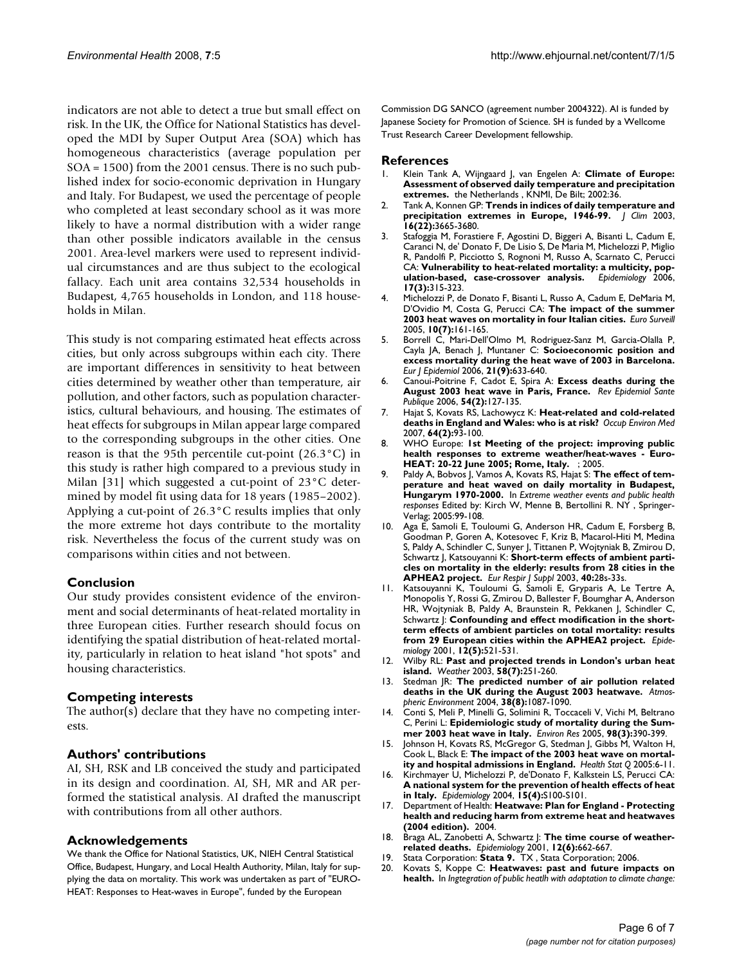indicators are not able to detect a true but small effect on risk. In the UK, the Office for National Statistics has developed the MDI by Super Output Area (SOA) which has homogeneous characteristics (average population per SOA = 1500) from the 2001 census. There is no such published index for socio-economic deprivation in Hungary and Italy. For Budapest, we used the percentage of people who completed at least secondary school as it was more likely to have a normal distribution with a wider range than other possible indicators available in the census 2001. Area-level markers were used to represent individual circumstances and are thus subject to the ecological fallacy. Each unit area contains 32,534 households in Budapest, 4,765 households in London, and 118 households in Milan.

This study is not comparing estimated heat effects across cities, but only across subgroups within each city. There are important differences in sensitivity to heat between cities determined by weather other than temperature, air pollution, and other factors, such as population characteristics, cultural behaviours, and housing. The estimates of heat effects for subgroups in Milan appear large compared to the corresponding subgroups in the other cities. One reason is that the 95th percentile cut-point  $(26.3^{\circ}C)$  in this study is rather high compared to a previous study in Milan [31] which suggested a cut-point of 23°C determined by model fit using data for 18 years (1985–2002). Applying a cut-point of 26.3°C results implies that only the more extreme hot days contribute to the mortality risk. Nevertheless the focus of the current study was on comparisons within cities and not between.

#### **Conclusion**

Our study provides consistent evidence of the environment and social determinants of heat-related mortality in three European cities. Further research should focus on identifying the spatial distribution of heat-related mortality, particularly in relation to heat island "hot spots" and housing characteristics.

#### **Competing interests**

The author(s) declare that they have no competing interests.

#### **Authors' contributions**

AI, SH, RSK and LB conceived the study and participated in its design and coordination. AI, SH, MR and AR performed the statistical analysis. AI drafted the manuscript with contributions from all other authors.

#### **Acknowledgements**

We thank the Office for National Statistics, UK, NIEH Central Statistical Office, Budapest, Hungary, and Local Health Authority, Milan, Italy for supplying the data on mortality. This work was undertaken as part of "EURO-HEAT: Responses to Heat-waves in Europe", funded by the European

Commission DG SANCO (agreement number 2004322). AI is funded by Japanese Society for Promotion of Science. SH is funded by a Wellcome Trust Research Career Development fellowship.

#### **References**

- 1. Klein Tank A, Wijngaard J, van Engelen A: **Climate of Europe: Assessment of observed daily temperature and precipitation extremes.** the Netherlands , KNMI, De Bilt; 2002:36.
- 2. Tank A, Konnen GP: **Trends in indices of daily temperature and precipitation extremes in Europe, 1946-99.** *J Clim* 2003, **16(22):**3665-3680.
- 3. Stafoggia M, Forastiere F, Agostini D, Biggeri A, Bisanti L, Cadum E, Caranci N, de' Donato F, De Lisio S, De Maria M, Michelozzi P, Miglio R, Pandolfi P, Picciotto S, Rognoni M, Russo A, Scarnato C, Perucci CA: **[Vulnerability to heat-related mortality: a multicity, pop](http://www.ncbi.nlm.nih.gov/entrez/query.fcgi?cmd=Retrieve&db=PubMed&dopt=Abstract&list_uids=16570026)[ulation-based, case-crossover analysis.](http://www.ncbi.nlm.nih.gov/entrez/query.fcgi?cmd=Retrieve&db=PubMed&dopt=Abstract&list_uids=16570026) 17(3):**315-323.
- 4. Michelozzi P, de Donato F, Bisanti L, Russo A, Cadum E, DeMaria M, D'Ovidio M, Costa G, Perucci CA: **[The impact of the summer](http://www.ncbi.nlm.nih.gov/entrez/query.fcgi?cmd=Retrieve&db=PubMed&dopt=Abstract&list_uids=16088045) [2003 heat waves on mortality in four Italian cities.](http://www.ncbi.nlm.nih.gov/entrez/query.fcgi?cmd=Retrieve&db=PubMed&dopt=Abstract&list_uids=16088045)** *Euro Surveill* 2005, **10(7):**161-165.
- 5. Borrell C, Mari-Dell'Olmo M, Rodriguez-Sanz M, Garcia-Olalla P, Cayla JA, Benach J, Muntaner C: **[Socioeconomic position and](http://www.ncbi.nlm.nih.gov/entrez/query.fcgi?cmd=Retrieve&db=PubMed&dopt=Abstract&list_uids=17048085) [excess mortality during the heat wave of 2003 in Barcelona.](http://www.ncbi.nlm.nih.gov/entrez/query.fcgi?cmd=Retrieve&db=PubMed&dopt=Abstract&list_uids=17048085)** *Eur J Epidemiol* 2006, **21(9):**633-640.
- 6. Canoui-Poitrine F, Cadot E, Spira A: **[Excess deaths during the](http://www.ncbi.nlm.nih.gov/entrez/query.fcgi?cmd=Retrieve&db=PubMed&dopt=Abstract&list_uids=16830967) [August 2003 heat wave in Paris, France.](http://www.ncbi.nlm.nih.gov/entrez/query.fcgi?cmd=Retrieve&db=PubMed&dopt=Abstract&list_uids=16830967)** *Rev Epidemiol Sante Publique* 2006, **54(2):**127-135.
- 7. Hajat S, Kovats RS, Lachowycz K: **[Heat-related and cold-related](http://www.ncbi.nlm.nih.gov/entrez/query.fcgi?cmd=Retrieve&db=PubMed&dopt=Abstract&list_uids=16990293) [deaths in England and Wales: who is at risk?](http://www.ncbi.nlm.nih.gov/entrez/query.fcgi?cmd=Retrieve&db=PubMed&dopt=Abstract&list_uids=16990293)** *Occup Environ Med* 2007, **64(2):**93-100.
- 8. WHO Europe: **1st Meeting of the project: improving public health responses to extreme weather/heat-waves - Euro-HEAT: 20-22 June 2005; Rome, Italy.** ; 2005.
- 9. Paldy A, Bobvos J, Vamos A, Kovats RS, Hajat S: **The effect of temperature and heat waved on daily mortality in Budapest, Hungarym 1970-2000.** In *Extreme weather events and public health responses* Edited by: Kirch W, Menne B, Bertollini R. NY , Springer-Verlag; 2005:99-108.
- 10. Aga E, Samoli E, Touloumi G, Anderson HR, Cadum E, Forsberg B, Goodman P, Goren A, Kotesovec F, Kriz B, Macarol-Hiti M, Medina S, Paldy A, Schindler C, Sunyer J, Tittanen P, Wojtyniak B, Zmirou D, Schwartz J, Katsouyanni K: **[Short-term effects of ambient parti](http://www.ncbi.nlm.nih.gov/entrez/query.fcgi?cmd=Retrieve&db=PubMed&dopt=Abstract&list_uids=12762571)[cles on mortality in the elderly: results from 28 cities in the](http://www.ncbi.nlm.nih.gov/entrez/query.fcgi?cmd=Retrieve&db=PubMed&dopt=Abstract&list_uids=12762571) [APHEA2 project.](http://www.ncbi.nlm.nih.gov/entrez/query.fcgi?cmd=Retrieve&db=PubMed&dopt=Abstract&list_uids=12762571)** *Eur Respir J Suppl* 2003, **40:**28s-33s.
- 11. Katsouyanni K, Touloumi G, Samoli E, Gryparis A, Le Tertre A, Monopolis Y, Rossi G, Zmirou D, Ballester F, Boumghar A, Anderson HR, Wojtyniak B, Paldy A, Braunstein R, Pekkanen J, Schindler C, Schwartz J: **[Confounding and effect modification in the short](http://www.ncbi.nlm.nih.gov/entrez/query.fcgi?cmd=Retrieve&db=PubMed&dopt=Abstract&list_uids=11505171)[term effects of ambient particles on total mortality: results](http://www.ncbi.nlm.nih.gov/entrez/query.fcgi?cmd=Retrieve&db=PubMed&dopt=Abstract&list_uids=11505171) [from 29 European cities within the APHEA2 project.](http://www.ncbi.nlm.nih.gov/entrez/query.fcgi?cmd=Retrieve&db=PubMed&dopt=Abstract&list_uids=11505171)** *Epidemiology* 2001, **12(5):**521-531.
- 12. Wilby RL: **Past and projected trends in London's urban heat island.** *Weather* 2003, **58(7):**251-260.
- 13. Stedman JR: **The predicted number of air pollution related deaths in the UK during the August 2003 heatwave.** *Atmospheric Environment* 2004, **38(8):**1087-1090.
- 14. Conti S, Meli P, Minelli G, Solimini R, Toccaceli V, Vichi M, Beltrano C, Perini L: **[Epidemiologic study of mortality during the Sum](http://www.ncbi.nlm.nih.gov/entrez/query.fcgi?cmd=Retrieve&db=PubMed&dopt=Abstract&list_uids=15910795)[mer 2003 heat wave in Italy.](http://www.ncbi.nlm.nih.gov/entrez/query.fcgi?cmd=Retrieve&db=PubMed&dopt=Abstract&list_uids=15910795)** *Environ Res* 2005, **98(3):**390-399.
- 15. Johnson H, Kovats RS, McGregor G, Stedman J, Gibbs M, Walton H, Cook L, Black E: **[The impact of the 2003 heat wave on mortal](http://www.ncbi.nlm.nih.gov/entrez/query.fcgi?cmd=Retrieve&db=PubMed&dopt=Abstract&list_uids=15804164)[ity and hospital admissions in England.](http://www.ncbi.nlm.nih.gov/entrez/query.fcgi?cmd=Retrieve&db=PubMed&dopt=Abstract&list_uids=15804164)** *Health Stat Q* 2005:6-11.
- 16. Kirchmayer U, Michelozzi P, de'Donato F, Kalkstein LS, Perucci CA: **A national system for the prevention of health effects of heat in Italy.** *Epidemiology* 2004, **15(4):**S100-S101.
- 17. Department of Health: **Heatwave: Plan for England Protecting health and reducing harm from extreme heat and heatwaves (2004 edition).** 2004.
- 18. Braga AL, Zanobetti A, Schwartz J: **[The time course of weather](http://www.ncbi.nlm.nih.gov/entrez/query.fcgi?cmd=Retrieve&db=PubMed&dopt=Abstract&list_uids=11679794)[related deaths.](http://www.ncbi.nlm.nih.gov/entrez/query.fcgi?cmd=Retrieve&db=PubMed&dopt=Abstract&list_uids=11679794)** *Epidemiology* 2001, **12(6):**662-667.
- 19. Stata Corporation: **Stata 9.** TX , Stata Corporation; 2006.
- 20. Kovats S, Koppe C: **Heatwaves: past and future impacts on health.** In *Ingtegration of public heatlh with adaptation to climate change:*